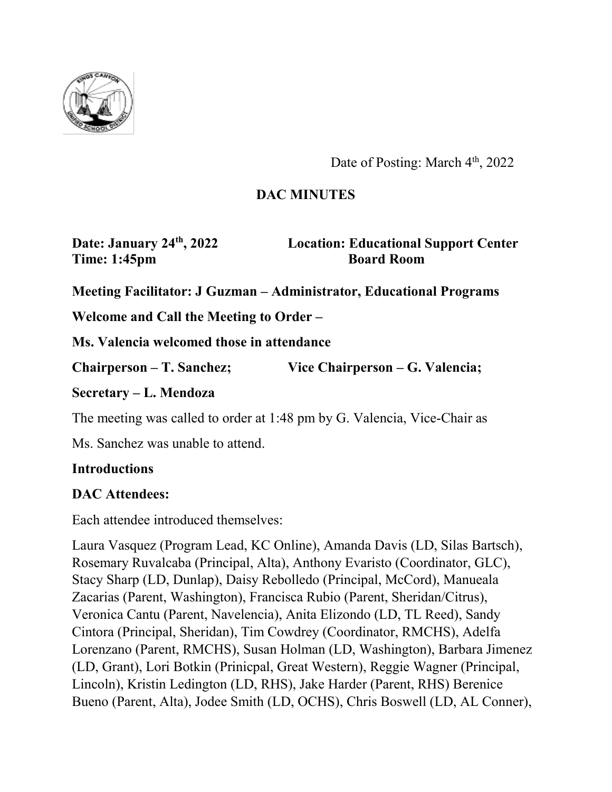

Date of Posting: March 4<sup>th</sup>, 2022

# **DAC MINUTES**

**Time: 1:45pm Board Room** 

**Date: January 24th, 2022 Location: Educational Support Center**

**Meeting Facilitator: J Guzman – Administrator, Educational Programs** 

**Welcome and Call the Meeting to Order –** 

**Ms. Valencia welcomed those in attendance**

**Chairperson – T. Sanchez; Vice Chairperson – G. Valencia;** 

**Secretary – L. Mendoza**

The meeting was called to order at 1:48 pm by G. Valencia, Vice-Chair as

Ms. Sanchez was unable to attend.

#### **Introductions**

## **DAC Attendees:**

Each attendee introduced themselves:

Laura Vasquez (Program Lead, KC Online), Amanda Davis (LD, Silas Bartsch), Rosemary Ruvalcaba (Principal, Alta), Anthony Evaristo (Coordinator, GLC), Stacy Sharp (LD, Dunlap), Daisy Rebolledo (Principal, McCord), Manueala Zacarias (Parent, Washington), Francisca Rubio (Parent, Sheridan/Citrus), Veronica Cantu (Parent, Navelencia), Anita Elizondo (LD, TL Reed), Sandy Cintora (Principal, Sheridan), Tim Cowdrey (Coordinator, RMCHS), Adelfa Lorenzano (Parent, RMCHS), Susan Holman (LD, Washington), Barbara Jimenez (LD, Grant), Lori Botkin (Prinicpal, Great Western), Reggie Wagner (Principal, Lincoln), Kristin Ledington (LD, RHS), Jake Harder (Parent, RHS) Berenice Bueno (Parent, Alta), Jodee Smith (LD, OCHS), Chris Boswell (LD, AL Conner),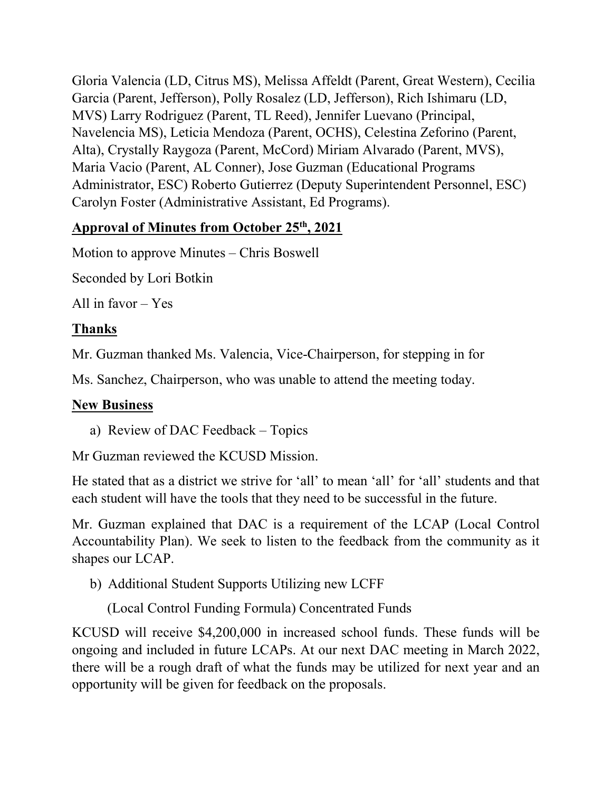Gloria Valencia (LD, Citrus MS), Melissa Affeldt (Parent, Great Western), Cecilia Garcia (Parent, Jefferson), Polly Rosalez (LD, Jefferson), Rich Ishimaru (LD, MVS) Larry Rodriguez (Parent, TL Reed), Jennifer Luevano (Principal, Navelencia MS), Leticia Mendoza (Parent, OCHS), Celestina Zeforino (Parent, Alta), Crystally Raygoza (Parent, McCord) Miriam Alvarado (Parent, MVS), Maria Vacio (Parent, AL Conner), Jose Guzman (Educational Programs Administrator, ESC) Roberto Gutierrez (Deputy Superintendent Personnel, ESC) Carolyn Foster (Administrative Assistant, Ed Programs).

# **Approval of Minutes from October 25th, 2021**

Motion to approve Minutes – Chris Boswell

Seconded by Lori Botkin

All in favor – Yes

# **Thanks**

Mr. Guzman thanked Ms. Valencia, Vice-Chairperson, for stepping in for

Ms. Sanchez, Chairperson, who was unable to attend the meeting today.

# **New Business**

a) Review of DAC Feedback – Topics

Mr Guzman reviewed the KCUSD Mission.

He stated that as a district we strive for 'all' to mean 'all' for 'all' students and that each student will have the tools that they need to be successful in the future.

Mr. Guzman explained that DAC is a requirement of the LCAP (Local Control Accountability Plan). We seek to listen to the feedback from the community as it shapes our LCAP.

b) Additional Student Supports Utilizing new LCFF

(Local Control Funding Formula) Concentrated Funds

KCUSD will receive \$4,200,000 in increased school funds. These funds will be ongoing and included in future LCAPs. At our next DAC meeting in March 2022, there will be a rough draft of what the funds may be utilized for next year and an opportunity will be given for feedback on the proposals.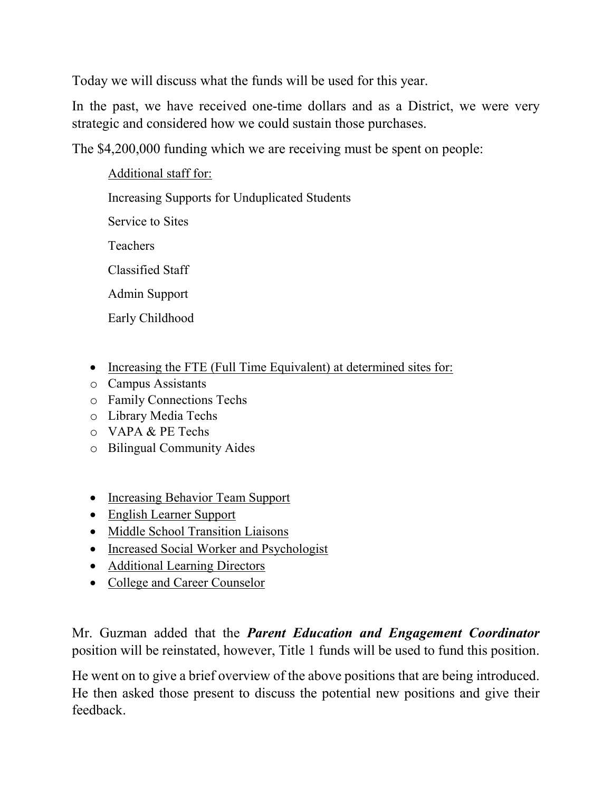Today we will discuss what the funds will be used for this year.

In the past, we have received one-time dollars and as a District, we were very strategic and considered how we could sustain those purchases.

The \$4,200,000 funding which we are receiving must be spent on people:

Additional staff for: Increasing Supports for Unduplicated Students Service to Sites Teachers Classified Staff Admin Support Early Childhood

- Increasing the FTE (Full Time Equivalent) at determined sites for:
- o Campus Assistants
- o Family Connections Techs
- o Library Media Techs
- o VAPA & PE Techs
- o Bilingual Community Aides
- Increasing Behavior Team Support
- English Learner Support
- Middle School Transition Liaisons
- Increased Social Worker and Psychologist
- Additional Learning Directors
- College and Career Counselor

Mr. Guzman added that the *Parent Education and Engagement Coordinator* position will be reinstated, however, Title 1 funds will be used to fund this position.

He went on to give a brief overview of the above positions that are being introduced. He then asked those present to discuss the potential new positions and give their feedback.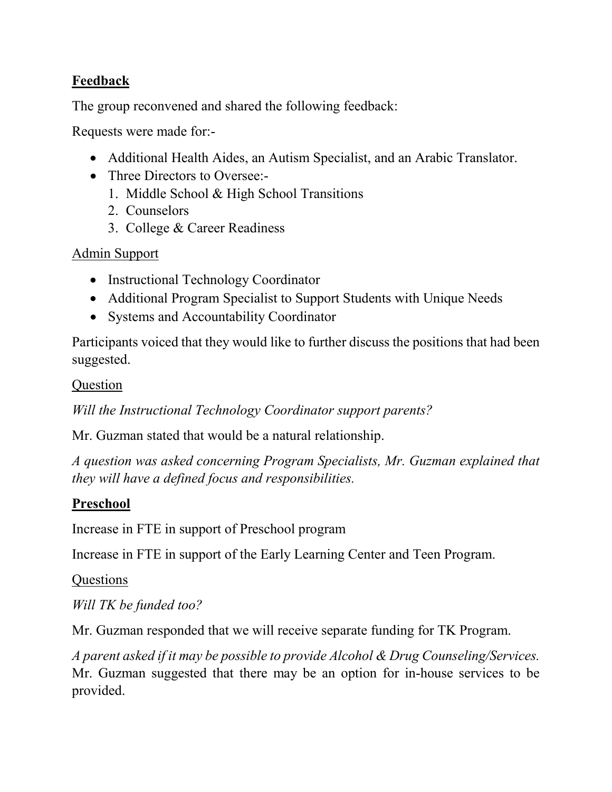## **Feedback**

The group reconvened and shared the following feedback:

Requests were made for:-

- Additional Health Aides, an Autism Specialist, and an Arabic Translator.
- Three Directors to Oversee:-
	- 1. Middle School & High School Transitions
	- 2. Counselors
	- 3. College & Career Readiness

## Admin Support

- Instructional Technology Coordinator
- Additional Program Specialist to Support Students with Unique Needs
- Systems and Accountability Coordinator

Participants voiced that they would like to further discuss the positions that had been suggested.

### Question

*Will the Instructional Technology Coordinator support parents?* 

Mr. Guzman stated that would be a natural relationship.

*A question was asked concerning Program Specialists, Mr. Guzman explained that they will have a defined focus and responsibilities.*

## **Preschool**

Increase in FTE in support of Preschool program

Increase in FTE in support of the Early Learning Center and Teen Program.

#### Questions

*Will TK be funded too?* 

Mr. Guzman responded that we will receive separate funding for TK Program.

*A parent asked if it may be possible to provide Alcohol & Drug Counseling/Services.* Mr. Guzman suggested that there may be an option for in-house services to be provided.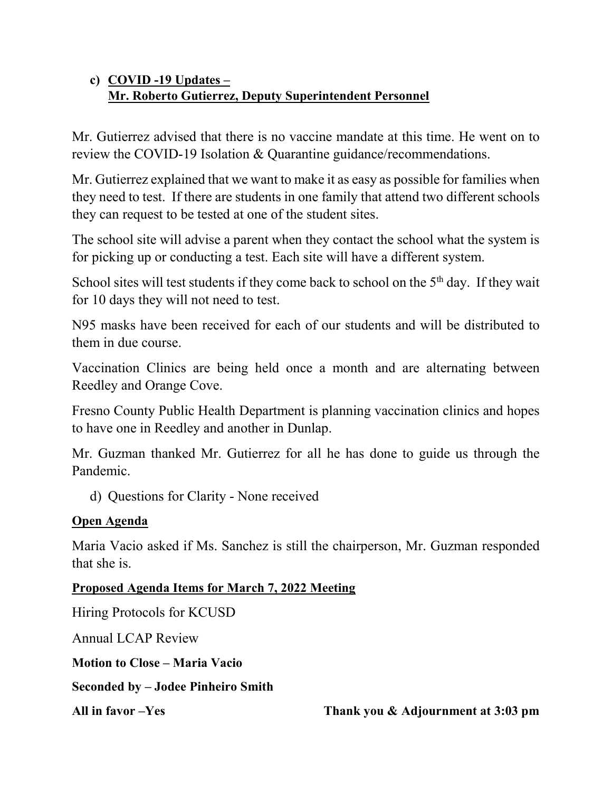## **c) COVID -19 Updates – Mr. Roberto Gutierrez, Deputy Superintendent Personnel**

Mr. Gutierrez advised that there is no vaccine mandate at this time. He went on to review the COVID-19 Isolation & Quarantine guidance/recommendations.

Mr. Gutierrez explained that we want to make it as easy as possible for families when they need to test. If there are students in one family that attend two different schools they can request to be tested at one of the student sites.

The school site will advise a parent when they contact the school what the system is for picking up or conducting a test. Each site will have a different system.

School sites will test students if they come back to school on the 5<sup>th</sup> day. If they wait for 10 days they will not need to test.

N95 masks have been received for each of our students and will be distributed to them in due course.

Vaccination Clinics are being held once a month and are alternating between Reedley and Orange Cove.

Fresno County Public Health Department is planning vaccination clinics and hopes to have one in Reedley and another in Dunlap.

Mr. Guzman thanked Mr. Gutierrez for all he has done to guide us through the Pandemic.

d) Questions for Clarity - None received

## **Open Agenda**

Maria Vacio asked if Ms. Sanchez is still the chairperson, Mr. Guzman responded that she is.

**Proposed Agenda Items for March 7, 2022 Meeting**

Hiring Protocols for KCUSD

Annual LCAP Review

**Motion to Close – Maria Vacio**

**Seconded by – Jodee Pinheiro Smith**

**All in favor –Yes Thank you & Adjournment at 3:03 pm**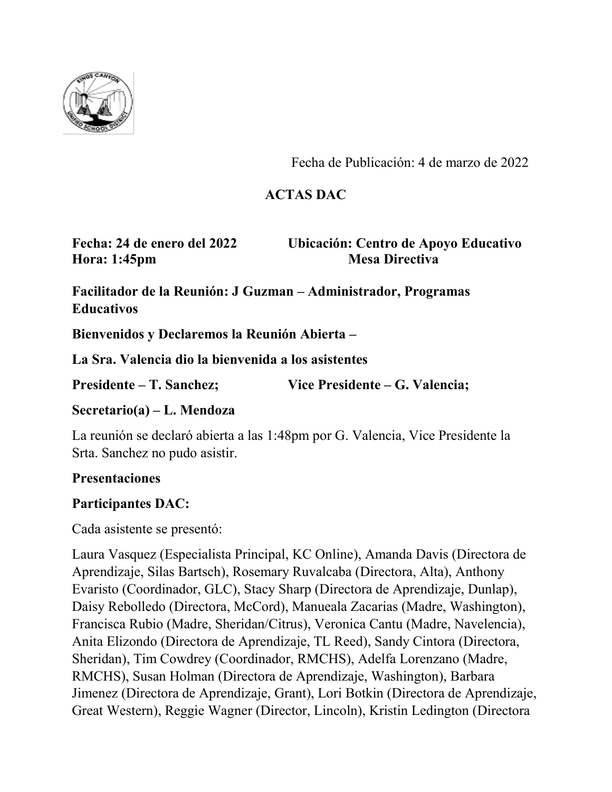

Fecha de Publicación: 4 de marzo de 2022

## **ACTAS DAC**

**Hora: 1:45pm Mesa Directiva** 

**Fecha: 24 de enero del 2022 Ubicación: Centro de Apoyo Educativo**

**Facilitador de la Reunión: J Guzman – Administrador, Programas Educativos**

**Bienvenidos y Declaremos la Reunión Abierta –** 

**La Sra. Valencia dio la bienvenida a los asistentes**

**Presidente – T. Sanchez; Vice Presidente – G. Valencia;** 

**Secretario(a) – L. Mendoza**

La reunión se declaró abierta a las 1:48pm por G. Valencia, Vice Presidente la Srta. Sanchez no pudo asistir.

#### **Presentaciones**

## **Participantes DAC:**

Cada asistente se presentó:

Laura Vasquez (Especialista Principal, KC Online), Amanda Davis (Directora de Aprendizaje, Silas Bartsch), Rosemary Ruvalcaba (Directora, Alta), Anthony Evaristo (Coordinador, GLC), Stacy Sharp (Directora de Aprendizaje, Dunlap), Daisy Rebolledo (Directora, McCord), Manueala Zacarias (Madre, Washington), Francisca Rubio (Madre, Sheridan/Citrus), Veronica Cantu (Madre, Navelencia), Anita Elizondo (Directora de Aprendizaje, TL Reed), Sandy Cintora (Directora, Sheridan), Tim Cowdrey (Coordinador, RMCHS), Adelfa Lorenzano (Madre, RMCHS), Susan Holman (Directora de Aprendizaje, Washington), Barbara Jimenez (Directora de Aprendizaje, Grant), Lori Botkin (Directora de Aprendizaje, Great Western), Reggie Wagner (Director, Lincoln), Kristin Ledington (Directora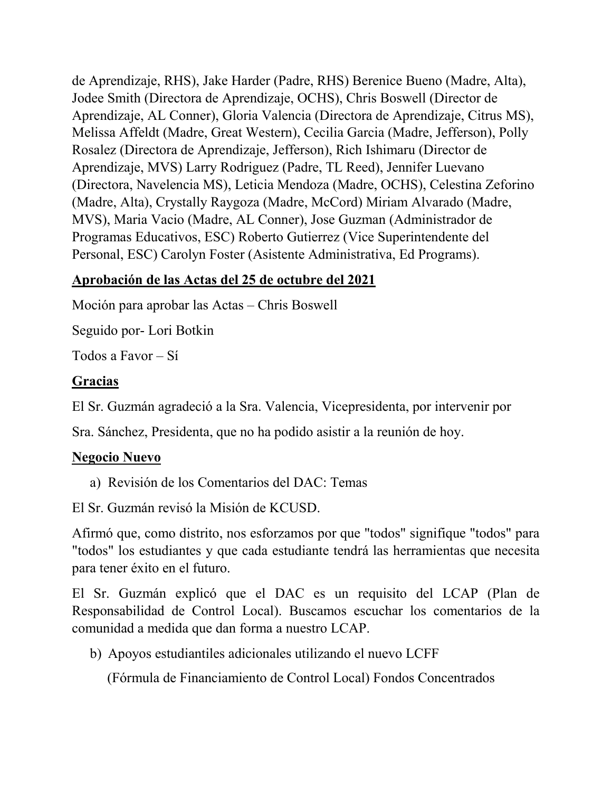de Aprendizaje, RHS), Jake Harder (Padre, RHS) Berenice Bueno (Madre, Alta), Jodee Smith (Directora de Aprendizaje, OCHS), Chris Boswell (Director de Aprendizaje, AL Conner), Gloria Valencia (Directora de Aprendizaje, Citrus MS), Melissa Affeldt (Madre, Great Western), Cecilia Garcia (Madre, Jefferson), Polly Rosalez (Directora de Aprendizaje, Jefferson), Rich Ishimaru (Director de Aprendizaje, MVS) Larry Rodriguez (Padre, TL Reed), Jennifer Luevano (Directora, Navelencia MS), Leticia Mendoza (Madre, OCHS), Celestina Zeforino (Madre, Alta), Crystally Raygoza (Madre, McCord) Miriam Alvarado (Madre, MVS), Maria Vacio (Madre, AL Conner), Jose Guzman (Administrador de Programas Educativos, ESC) Roberto Gutierrez (Vice Superintendente del Personal, ESC) Carolyn Foster (Asistente Administrativa, Ed Programs).

# **Aprobación de las Actas del 25 de octubre del 2021**

Moción para aprobar las Actas – Chris Boswell

Seguido por- Lori Botkin

Todos a Favor – Sí

## **Gracias**

El Sr. Guzmán agradeció a la Sra. Valencia, Vicepresidenta, por intervenir por

Sra. Sánchez, Presidenta, que no ha podido asistir a la reunión de hoy.

## **Negocio Nuevo**

a) Revisión de los Comentarios del DAC: Temas

El Sr. Guzmán revisó la Misión de KCUSD.

Afirmó que, como distrito, nos esforzamos por que "todos" signifique "todos" para "todos" los estudiantes y que cada estudiante tendrá las herramientas que necesita para tener éxito en el futuro.

El Sr. Guzmán explicó que el DAC es un requisito del LCAP (Plan de Responsabilidad de Control Local). Buscamos escuchar los comentarios de la comunidad a medida que dan forma a nuestro LCAP.

b) Apoyos estudiantiles adicionales utilizando el nuevo LCFF

(Fórmula de Financiamiento de Control Local) Fondos Concentrados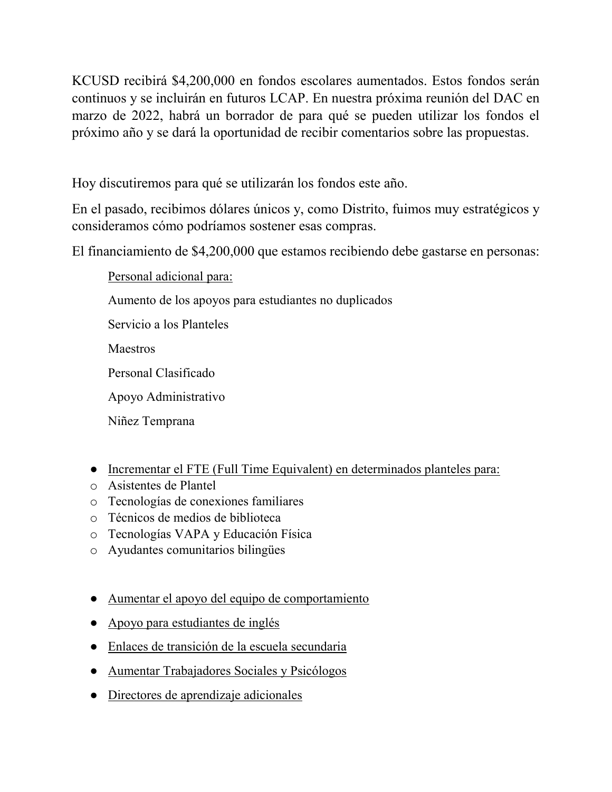KCUSD recibirá \$4,200,000 en fondos escolares aumentados. Estos fondos serán continuos y se incluirán en futuros LCAP. En nuestra próxima reunión del DAC en marzo de 2022, habrá un borrador de para qué se pueden utilizar los fondos el próximo año y se dará la oportunidad de recibir comentarios sobre las propuestas.

Hoy discutiremos para qué se utilizarán los fondos este año.

En el pasado, recibimos dólares únicos y, como Distrito, fuimos muy estratégicos y consideramos cómo podríamos sostener esas compras.

El financiamiento de \$4,200,000 que estamos recibiendo debe gastarse en personas:

Personal adicional para:

Aumento de los apoyos para estudiantes no duplicados

Servicio a los Planteles

Maestros

Personal Clasificado

Apoyo Administrativo

Niñez Temprana

- Incrementar el FTE (Full Time Equivalent) en determinados planteles para:
- o Asistentes de Plantel
- o Tecnologías de conexiones familiares
- o Técnicos de medios de biblioteca
- o Tecnologías VAPA y Educación Física
- o Ayudantes comunitarios bilingües
- Aumentar el apoyo del equipo de comportamiento
- Apoyo para estudiantes de inglés
- Enlaces de transición de la escuela secundaria
- Aumentar Trabajadores Sociales y Psicólogos
- Directores de aprendizaje adicionales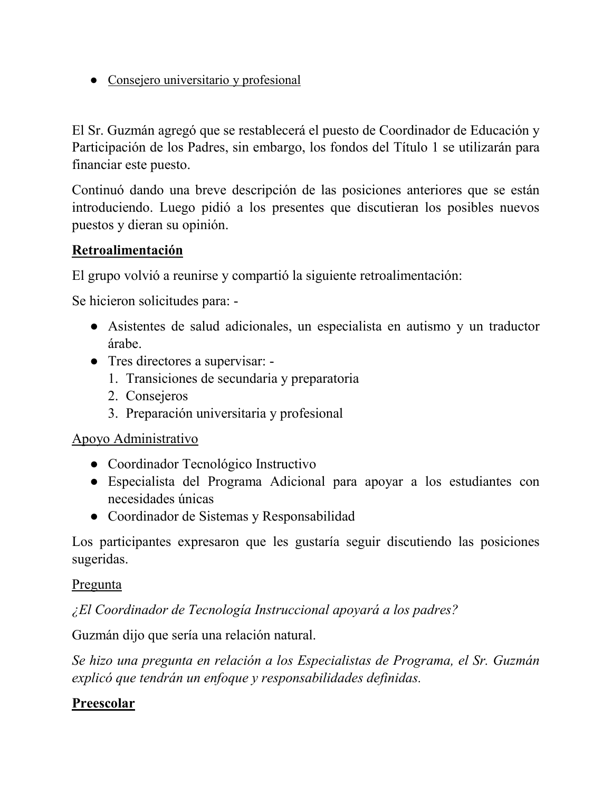● Consejero universitario y profesional

El Sr. Guzmán agregó que se restablecerá el puesto de Coordinador de Educación y Participación de los Padres, sin embargo, los fondos del Título 1 se utilizarán para financiar este puesto.

Continuó dando una breve descripción de las posiciones anteriores que se están introduciendo. Luego pidió a los presentes que discutieran los posibles nuevos puestos y dieran su opinión.

## **Retroalimentación**

El grupo volvió a reunirse y compartió la siguiente retroalimentación:

Se hicieron solicitudes para: -

- Asistentes de salud adicionales, un especialista en autismo y un traductor árabe.
- Tres directores a supervisar:
	- 1. Transiciones de secundaria y preparatoria
	- 2. Consejeros
	- 3. Preparación universitaria y profesional

#### Apoyo Administrativo

- Coordinador Tecnológico Instructivo
- Especialista del Programa Adicional para apoyar a los estudiantes con necesidades únicas
- Coordinador de Sistemas y Responsabilidad

Los participantes expresaron que les gustaría seguir discutiendo las posiciones sugeridas.

#### Pregunta

*¿El Coordinador de Tecnología Instruccional apoyará a los padres?*

Guzmán dijo que sería una relación natural.

*Se hizo una pregunta en relación a los Especialistas de Programa, el Sr. Guzmán explicó que tendrán un enfoque y responsabilidades definidas.*

## **Preescolar**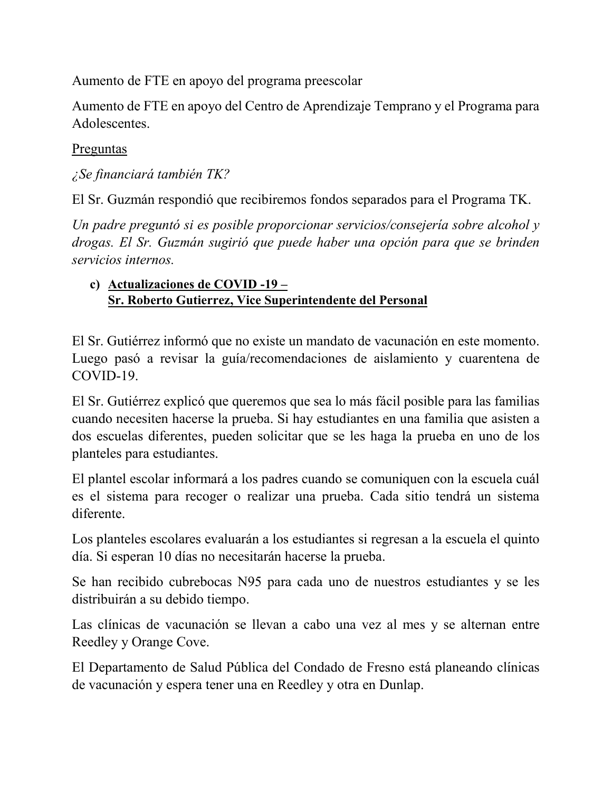Aumento de FTE en apoyo del programa preescolar

Aumento de FTE en apoyo del Centro de Aprendizaje Temprano y el Programa para Adolescentes.

### Preguntas

*¿Se financiará también TK?*

El Sr. Guzmán respondió que recibiremos fondos separados para el Programa TK.

*Un padre preguntó si es posible proporcionar servicios/consejería sobre alcohol y drogas. El Sr. Guzmán sugirió que puede haber una opción para que se brinden servicios internos.*

### **c) Actualizaciones de COVID -19 – Sr. Roberto Gutierrez, Vice Superintendente del Personal**

El Sr. Gutiérrez informó que no existe un mandato de vacunación en este momento. Luego pasó a revisar la guía/recomendaciones de aislamiento y cuarentena de COVID-19.

El Sr. Gutiérrez explicó que queremos que sea lo más fácil posible para las familias cuando necesiten hacerse la prueba. Si hay estudiantes en una familia que asisten a dos escuelas diferentes, pueden solicitar que se les haga la prueba en uno de los planteles para estudiantes.

El plantel escolar informará a los padres cuando se comuniquen con la escuela cuál es el sistema para recoger o realizar una prueba. Cada sitio tendrá un sistema diferente.

Los planteles escolares evaluarán a los estudiantes si regresan a la escuela el quinto día. Si esperan 10 días no necesitarán hacerse la prueba.

Se han recibido cubrebocas N95 para cada uno de nuestros estudiantes y se les distribuirán a su debido tiempo.

Las clínicas de vacunación se llevan a cabo una vez al mes y se alternan entre Reedley y Orange Cove.

El Departamento de Salud Pública del Condado de Fresno está planeando clínicas de vacunación y espera tener una en Reedley y otra en Dunlap.